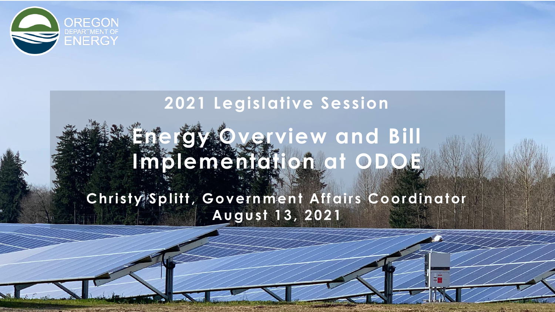

# **2021 Legislative Session** Energy **Overview and Bill Implementation at ODOE**

#### **Christy Splitt, Government Affairs Coordinator August 13, 2021**

 $\leq$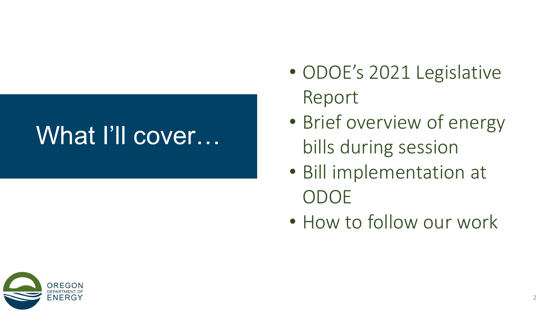# What I'll cover…

- ODOE's 2021 Legislative Report
- Brief overview of energy bills during session
- Bill implementation at ODOE
- How to follow our work

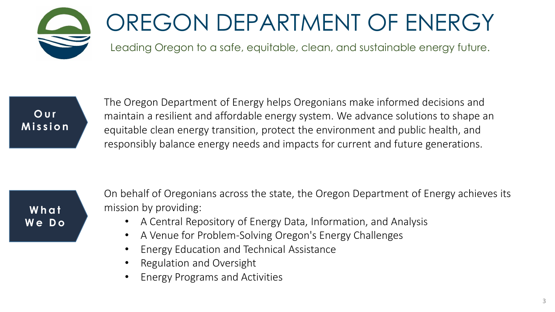

# OREGON DEPARTMENT OF ENERGY

Leading Oregon to a safe, equitable, clean, and sustainable energy future.



The Oregon Department of Energy helps Oregonians make informed decisions and maintain a resilient and affordable energy system. We advance solutions to shape an equitable clean energy transition, protect the environment and public health, and responsibly balance energy needs and impacts for current and future generations.

**W h a t W e D o** On behalf of Oregonians across the state, the Oregon Department of Energy achieves its mission by providing:

- A Central Repository of Energy Data, Information, and Analysis
- A Venue for Problem-Solving Oregon's Energy Challenges
- Energy Education and Technical Assistance
- Regulation and Oversight
- Energy Programs and Activities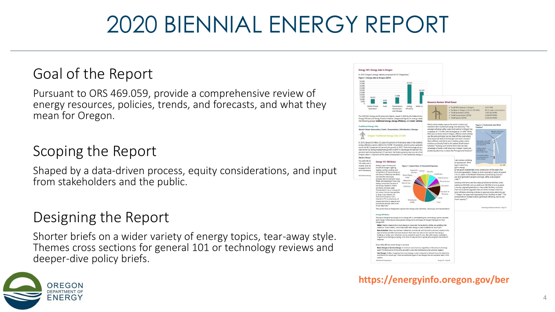# 2020 BIENNIAL ENERGY REPORT

#### Goal of the Report

Pursuant to ORS 469.059, provide a comprehensive review of energy resources, policies, trends, and forecasts, and what they mean for Oregon.

#### Scoping the Report

Shaped by a data-driven process, equity considerations, and input from stakeholders and the public.

#### Designing the Report

Shorter briefs on a wider variety of energy topics, tear-away style. Themes cross sections for general 101 or technology reviews and deeper-dive policy briefs.



#### **https://energyinfo.oregon.gov/ber**

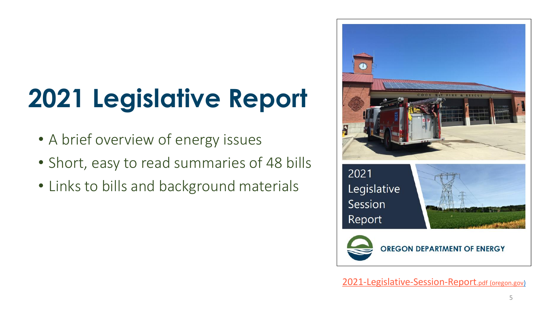# **2021 Legislative Report**

- A brief overview of energy issues
- Short, easy to read summaries of 48 bills
- Links to bills and background materials



[2021-Legislative-Session-Report](https://www.oregon.gov/energy/Data-and-Reports/Documents/2021-Legislative-Session-Report.pdf).pdf (oregon.gov)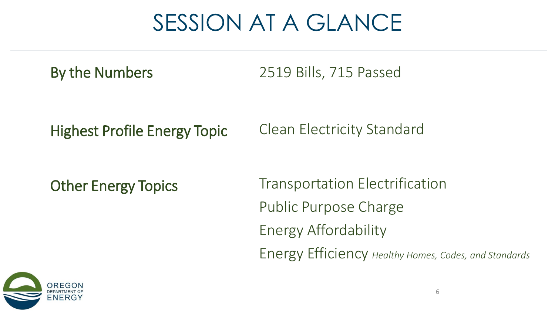# SESSION AT A GLANCE

By the Numbers 2519 Bills, 715 Passed

Highest Profile Energy Topic Clean Electricity Standard

Other Energy Topics

Transportation Electrification Public Purpose Charge Energy Affordability Energy Efficiency *Healthy Homes, Codes, and Standards*

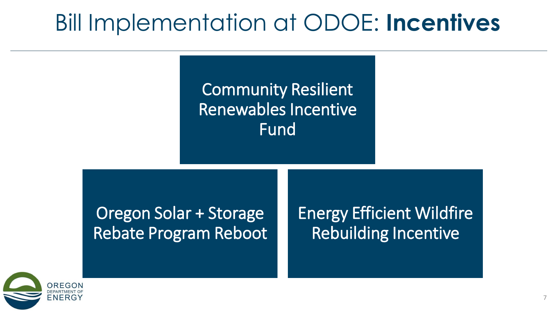# Bill Implementation at ODOE: **Incentives**

### Community Resilient Renewables Incentive **Fund**

#### Oregon Solar + Storage Rebate Program Reboot

Energy Efficient Wildfire Rebuilding Incentive

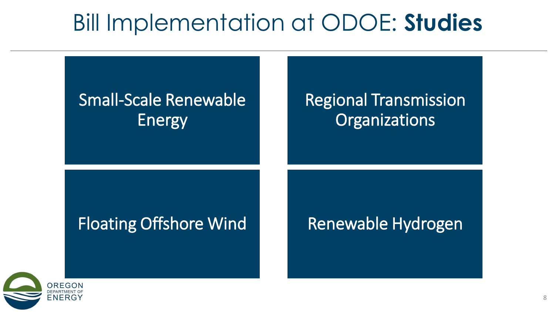# Bill Implementation at ODOE: **Studies**

## Small-Scale Renewable Energy

### Regional Transmission **Organizations**

#### Floating Offshore Wind **Renewable Hydrogen**